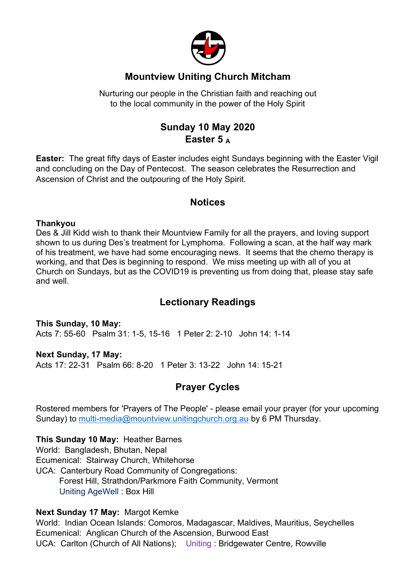

# **Mountview Uniting Church Mitcham**

Nurturing our people in the Christian faith and reaching out to the local community in the power of the Holy Spirit

# **Sunday 10 May 2020 Easter 5 <sup>A</sup>**

**Easter:** The great fifty days of Easter includes eight Sundays beginning with the Easter Vigil and concluding on the Day of Pentecost. The season celebrates the Resurrection and Ascension of Christ and the outpouring of the Holy Spirit.

## **Notices**

#### **Thankyou**

Des & Jill Kidd wish to thank their Mountview Family for all the prayers, and loving support shown to us during Des's treatment for Lymphoma. Following a scan, at the half way mark of his treatment, we have had some encouraging news. It seems that the chemo therapy is working, and that Des is beginning to respond. We miss meeting up with all of you at Church on Sundays, but as the COVID19 is preventing us from doing that, please stay safe and well.

## **Lectionary Readings**

**This Sunday, 10 May:** Acts 7: 55-60 Psalm 31: 1-5, 15-16 1 Peter 2: 2-10 John 14: 1-14

#### **Next Sunday, 17 May:**

Acts 17: 22-31 Psalm 66: 8-20 1 Peter 3: 13-22 John 14: 15-21

## **Prayer Cycles**

Rostered members for 'Prayers of The People' - please email your prayer (for your upcoming Sunday) to multi-media@mountview.unitingchurch.org.au by 6 PM Thursday.

#### **This Sunday 10 May:** Heather Barnes

World: Bangladesh, Bhutan, Nepal Ecumenical: Stairway Church, Whitehorse UCA: Canterbury Road Community of Congregations: Forest Hill, Strathdon/Parkmore Faith Community, Vermont Uniting AgeWell : Box Hill

#### **Next Sunday 17 May:** Margot Kemke

World: Indian Ocean Islands: Comoros, Madagascar, Maldives, Mauritius, Seychelles Ecumenical: Anglican Church of the Ascension, Burwood East UCA: Carlton (Church of All Nations); Uniting : Bridgewater Centre, Rowville